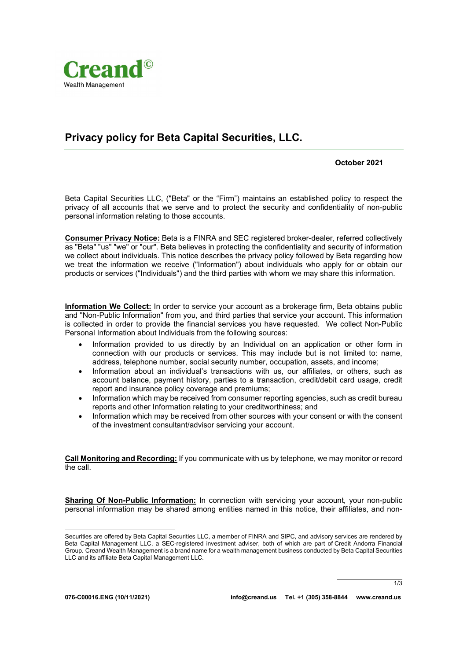

## Privacy policy for Beta Capital Securities, LLC.

October 2021

Beta Capital Securities LLC, ("Beta" or the "Firm") maintains an established policy to respect the privacy of all accounts that we serve and to protect the security and confidentiality of non-public personal information relating to those accounts.

Consumer Privacy Notice: Beta is a FINRA and SEC registered broker-dealer, referred collectively as "Beta" "us" "we" or "our". Beta believes in protecting the confidentiality and security of information we collect about individuals. This notice describes the privacy policy followed by Beta regarding how we treat the information we receive ("Information") about individuals who apply for or obtain our products or services ("Individuals") and the third parties with whom we may share this information.

Information We Collect: In order to service your account as a brokerage firm, Beta obtains public and "Non-Public Information" from you, and third parties that service your account. This information is collected in order to provide the financial services you have requested. We collect Non-Public Personal Information about Individuals from the following sources:

- Information provided to us directly by an Individual on an application or other form in connection with our products or services. This may include but is not limited to: name, address, telephone number, social security number, occupation, assets, and income;
- Information about an individual's transactions with us, our affiliates, or others, such as account balance, payment history, parties to a transaction, credit/debit card usage, credit report and insurance policy coverage and premiums;
- Information which may be received from consumer reporting agencies, such as credit bureau reports and other Information relating to your creditworthiness; and
- Information which may be received from other sources with your consent or with the consent of the investment consultant/advisor servicing your account.

Call Monitoring and Recording: If you communicate with us by telephone, we may monitor or record the call.

Sharing Of Non-Public Information: In connection with servicing your account, your non-public personal information may be shared among entities named in this notice, their affiliates, and non-

1/3

Securities are offered by Beta Capital Securities LLC, a member of FINRA and SIPC, and advisory services are rendered by Beta Capital Management LLC, a SEC-registered investment adviser, both of which are part of Credit Andorra Financial Group. Creand Wealth Management is a brand name for a wealth management business conducted by Beta Capital Securities LLC and its affiliate Beta Capital Management LLC.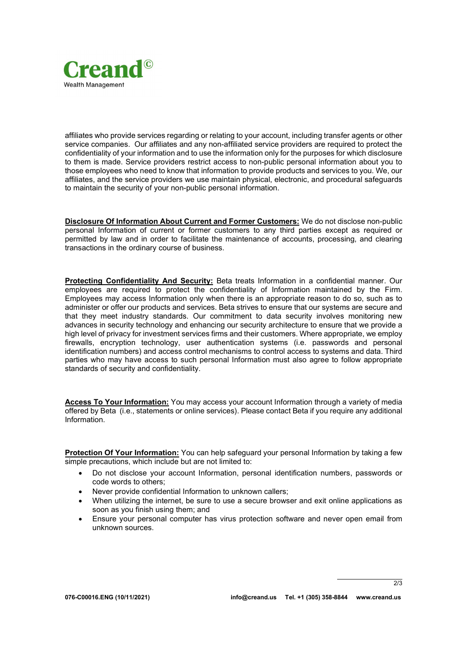

affiliates who provide services regarding or relating to your account, including transfer agents or other service companies. Our affiliates and any non-affiliated service providers are required to protect the confidentiality of your information and to use the information only for the purposes for which disclosure to them is made. Service providers restrict access to non-public personal information about you to those employees who need to know that information to provide products and services to you. We, our affiliates, and the service providers we use maintain physical, electronic, and procedural safeguards to maintain the security of your non-public personal information.

Disclosure Of Information About Current and Former Customers: We do not disclose non-public personal Information of current or former customers to any third parties except as required or permitted by law and in order to facilitate the maintenance of accounts, processing, and clearing transactions in the ordinary course of business.

Protecting Confidentiality And Security: Beta treats Information in a confidential manner. Our employees are required to protect the confidentiality of Information maintained by the Firm. Employees may access Information only when there is an appropriate reason to do so, such as to administer or offer our products and services. Beta strives to ensure that our systems are secure and that they meet industry standards. Our commitment to data security involves monitoring new advances in security technology and enhancing our security architecture to ensure that we provide a high level of privacy for investment services firms and their customers. Where appropriate, we employ firewalls, encryption technology, user authentication systems (i.e. passwords and personal identification numbers) and access control mechanisms to control access to systems and data. Third parties who may have access to such personal Information must also agree to follow appropriate standards of security and confidentiality.

Access To Your Information: You may access your account Information through a variety of media offered by Beta (i.e., statements or online services). Please contact Beta if you require any additional Information.

Protection Of Your Information: You can help safeguard your personal Information by taking a few simple precautions, which include but are not limited to:

- Do not disclose your account Information, personal identification numbers, passwords or code words to others;
- Never provide confidential Information to unknown callers;
- When utilizing the internet, be sure to use a secure browser and exit online applications as soon as you finish using them; and
- Ensure your personal computer has virus protection software and never open email from unknown sources.